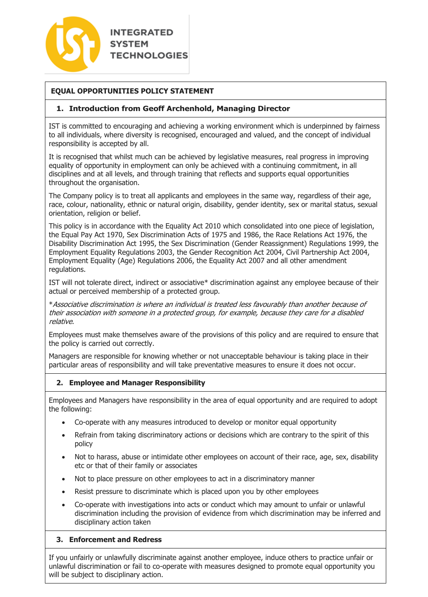

## **EQUAL OPPORTUNITIES POLICY STATEMENT**

### **1. Introduction from Geoff Archenhold, Managing Director**

IST is committed to encouraging and achieving a working environment which is underpinned by fairness to all individuals, where diversity is recognised, encouraged and valued, and the concept of individual responsibility is accepted by all.

It is recognised that whilst much can be achieved by legislative measures, real progress in improving equality of opportunity in employment can only be achieved with a continuing commitment, in all disciplines and at all levels, and through training that reflects and supports equal opportunities throughout the organisation.

The Company policy is to treat all applicants and employees in the same way, regardless of their age, race, colour, nationality, ethnic or natural origin, disability, gender identity, sex or marital status, sexual orientation, religion or belief.

This policy is in accordance with the Equality Act 2010 which consolidated into one piece of legislation, the Equal Pay Act 1970, Sex Discrimination Acts of 1975 and 1986, the Race Relations Act 1976, the Disability Discrimination Act 1995, the Sex Discrimination (Gender Reassignment) Regulations 1999, the Employment Equality Regulations 2003, the Gender Recognition Act 2004, Civil Partnership Act 2004, Employment Equality (Age) Regulations 2006, the Equality Act 2007 and all other amendment regulations.

IST will not tolerate direct, indirect or associative\* discrimination against any employee because of their actual or perceived membership of a protected group.

\*Associative discrimination is where an individual is treated less favourably than another because of their association with someone in a protected group, for example, because they care for a disabled relative.

Employees must make themselves aware of the provisions of this policy and are required to ensure that the policy is carried out correctly.

Managers are responsible for knowing whether or not unacceptable behaviour is taking place in their particular areas of responsibility and will take preventative measures to ensure it does not occur.

#### **2. Employee and Manager Responsibility**

Employees and Managers have responsibility in the area of equal opportunity and are required to adopt the following:

- Co-operate with any measures introduced to develop or monitor equal opportunity
- Refrain from taking discriminatory actions or decisions which are contrary to the spirit of this policy
- Not to harass, abuse or intimidate other employees on account of their race, age, sex, disability etc or that of their family or associates
- Not to place pressure on other employees to act in a discriminatory manner
- Resist pressure to discriminate which is placed upon you by other employees
- Co-operate with investigations into acts or conduct which may amount to unfair or unlawful discrimination including the provision of evidence from which discrimination may be inferred and disciplinary action taken

#### **3. Enforcement and Redress**

If you unfairly or unlawfully discriminate against another employee, induce others to practice unfair or unlawful discrimination or fail to co-operate with measures designed to promote equal opportunity you will be subject to disciplinary action.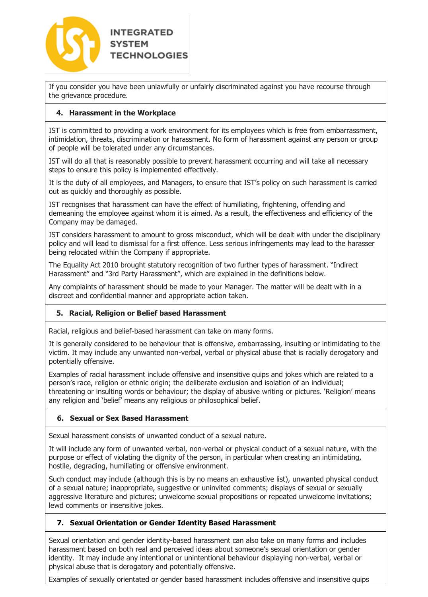

If you consider you have been unlawfully or unfairly discriminated against you have recourse through the grievance procedure.

# **4. Harassment in the Workplace**

IST is committed to providing a work environment for its employees which is free from embarrassment, intimidation, threats, discrimination or harassment. No form of harassment against any person or group of people will be tolerated under any circumstances.

IST will do all that is reasonably possible to prevent harassment occurring and will take all necessary steps to ensure this policy is implemented effectively.

It is the duty of all employees, and Managers, to ensure that IST's policy on such harassment is carried out as quickly and thoroughly as possible.

IST recognises that harassment can have the effect of humiliating, frightening, offending and demeaning the employee against whom it is aimed. As a result, the effectiveness and efficiency of the Company may be damaged.

IST considers harassment to amount to gross misconduct, which will be dealt with under the disciplinary policy and will lead to dismissal for a first offence. Less serious infringements may lead to the harasser being relocated within the Company if appropriate.

The Equality Act 2010 brought statutory recognition of two further types of harassment. "Indirect Harassment" and "3rd Party Harassment", which are explained in the definitions below.

Any complaints of harassment should be made to your Manager. The matter will be dealt with in a discreet and confidential manner and appropriate action taken.

### **5. Racial, Religion or Belief based Harassment**

Racial, religious and belief-based harassment can take on many forms.

It is generally considered to be behaviour that is offensive, embarrassing, insulting or intimidating to the victim. It may include any unwanted non-verbal, verbal or physical abuse that is racially derogatory and potentially offensive.

Examples of racial harassment include offensive and insensitive quips and jokes which are related to a person's race, religion or ethnic origin; the deliberate exclusion and isolation of an individual; threatening or insulting words or behaviour; the display of abusive writing or pictures. 'Religion' means any religion and 'belief' means any religious or philosophical belief.

### **6. Sexual or Sex Based Harassment**

Sexual harassment consists of unwanted conduct of a sexual nature.

It will include any form of unwanted verbal, non-verbal or physical conduct of a sexual nature, with the purpose or effect of violating the dignity of the person, in particular when creating an intimidating, hostile, degrading, humiliating or offensive environment.

Such conduct may include (although this is by no means an exhaustive list), unwanted physical conduct of a sexual nature; inappropriate, suggestive or uninvited comments; displays of sexual or sexually aggressive literature and pictures; unwelcome sexual propositions or repeated unwelcome invitations; lewd comments or insensitive jokes.

### **7. Sexual Orientation or Gender Identity Based Harassment**

Sexual orientation and gender identity-based harassment can also take on many forms and includes harassment based on both real and perceived ideas about someone's sexual orientation or gender identity. It may include any intentional or unintentional behaviour displaying non-verbal, verbal or physical abuse that is derogatory and potentially offensive.

Examples of sexually orientated or gender based harassment includes offensive and insensitive quips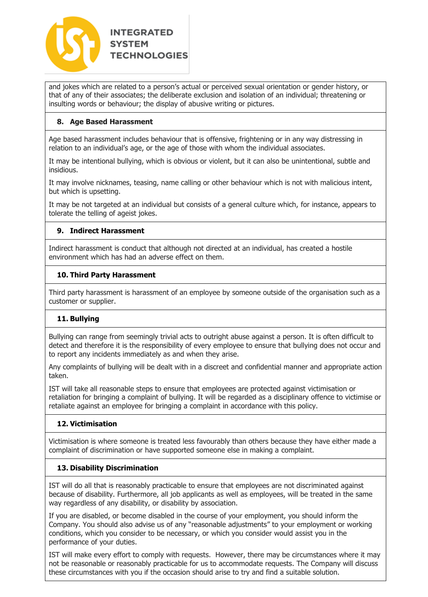

and jokes which are related to a person's actual or perceived sexual orientation or gender history, or that of any of their associates; the deliberate exclusion and isolation of an individual; threatening or insulting words or behaviour; the display of abusive writing or pictures.

## **8. Age Based Harassment**

Age based harassment includes behaviour that is offensive, frightening or in any way distressing in relation to an individual's age, or the age of those with whom the individual associates.

It may be intentional bullying, which is obvious or violent, but it can also be unintentional, subtle and insidious.

It may involve nicknames, teasing, name calling or other behaviour which is not with malicious intent, but which is upsetting.

It may be not targeted at an individual but consists of a general culture which, for instance, appears to tolerate the telling of ageist jokes.

### **9. Indirect Harassment**

Indirect harassment is conduct that although not directed at an individual, has created a hostile environment which has had an adverse effect on them.

### **10. Third Party Harassment**

Third party harassment is harassment of an employee by someone outside of the organisation such as a customer or supplier.

# **11. Bullying**

Bullying can range from seemingly trivial acts to outright abuse against a person. It is often difficult to detect and therefore it is the responsibility of every employee to ensure that bullying does not occur and to report any incidents immediately as and when they arise.

Any complaints of bullying will be dealt with in a discreet and confidential manner and appropriate action taken.

IST will take all reasonable steps to ensure that employees are protected against victimisation or retaliation for bringing a complaint of bullying. It will be regarded as a disciplinary offence to victimise or retaliate against an employee for bringing a complaint in accordance with this policy.

### **12. Victimisation**

Victimisation is where someone is treated less favourably than others because they have either made a complaint of discrimination or have supported someone else in making a complaint.

### **13. Disability Discrimination**

IST will do all that is reasonably practicable to ensure that employees are not discriminated against because of disability. Furthermore, all job applicants as well as employees, will be treated in the same way regardless of any disability, or disability by association.

If you are disabled, or become disabled in the course of your employment, you should inform the Company. You should also advise us of any "reasonable adjustments" to your employment or working conditions, which you consider to be necessary, or which you consider would assist you in the performance of your duties.

IST will make every effort to comply with requests. However, there may be circumstances where it may not be reasonable or reasonably practicable for us to accommodate requests. The Company will discuss these circumstances with you if the occasion should arise to try and find a suitable solution.